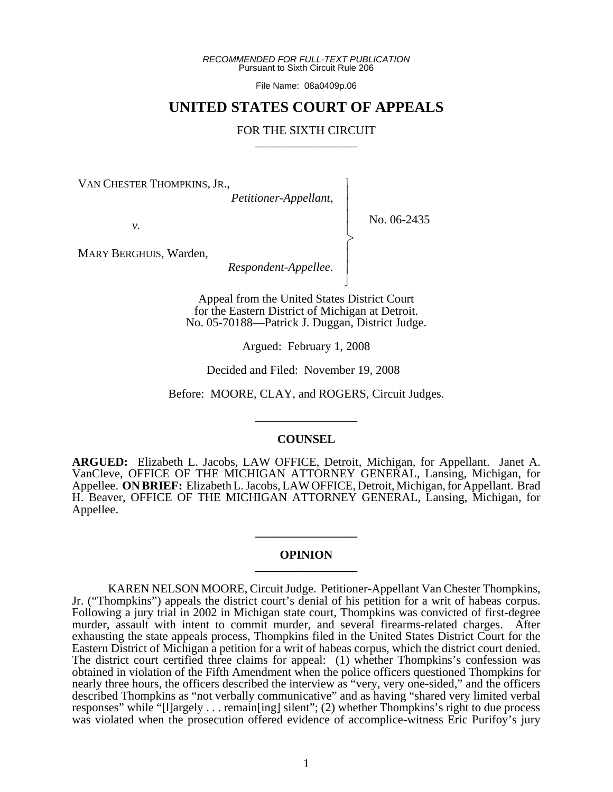*RECOMMENDED FOR FULL-TEXT PUBLICATION* Pursuant to Sixth Circuit Rule 206

File Name: 08a0409p.06

# **UNITED STATES COURT OF APPEALS**

# FOR THE SIXTH CIRCUIT

 $\overline{\phantom{a}}$ - - - -  $\succ$ |<br>|<br>| - - N

VAN CHESTER THOMPKINS, JR.,

*Petitioner-Appellant,*

No. 06-2435

*v.*

MARY BERGHUIS, Warden,

*Respondent-Appellee.*

Appeal from the United States District Court for the Eastern District of Michigan at Detroit. No. 05-70188—Patrick J. Duggan, District Judge.

Argued: February 1, 2008

Decided and Filed: November 19, 2008

Before: MOORE, CLAY, and ROGERS, Circuit Judges.

\_\_\_\_\_\_\_\_\_\_\_\_\_\_\_\_\_

### **COUNSEL**

**ARGUED:** Elizabeth L. Jacobs, LAW OFFICE, Detroit, Michigan, for Appellant. Janet A. VanCleve, OFFICE OF THE MICHIGAN ATTORNEY GENERAL, Lansing, Michigan, for Appellee. **ON BRIEF:** Elizabeth L. Jacobs, LAW OFFICE, Detroit, Michigan, for Appellant. Brad H. Beaver, OFFICE OF THE MICHIGAN ATTORNEY GENERAL, Lansing, Michigan, for Appellee.

#### **OPINION \_\_\_\_\_\_\_\_\_\_\_\_\_\_\_\_\_**

**\_\_\_\_\_\_\_\_\_\_\_\_\_\_\_\_\_**

KAREN NELSON MOORE, Circuit Judge. Petitioner-Appellant Van Chester Thompkins, Jr. ("Thompkins") appeals the district court's denial of his petition for a writ of habeas corpus. Following a jury trial in 2002 in Michigan state court, Thompkins was convicted of first-degree murder, assault with intent to commit murder, and several firearms-related charges. After exhausting the state appeals process, Thompkins filed in the United States District Court for the Eastern District of Michigan a petition for a writ of habeas corpus, which the district court denied. The district court certified three claims for appeal: (1) whether Thompkins's confession was obtained in violation of the Fifth Amendment when the police officers questioned Thompkins for nearly three hours, the officers described the interview as "very, very one-sided," and the officers described Thompkins as "not verbally communicative" and as having "shared very limited verbal responses" while "[l]argely . . . remain[ing] silent"; (2) whether Thompkins's right to due process was violated when the prosecution offered evidence of accomplice-witness Eric Purifoy's jury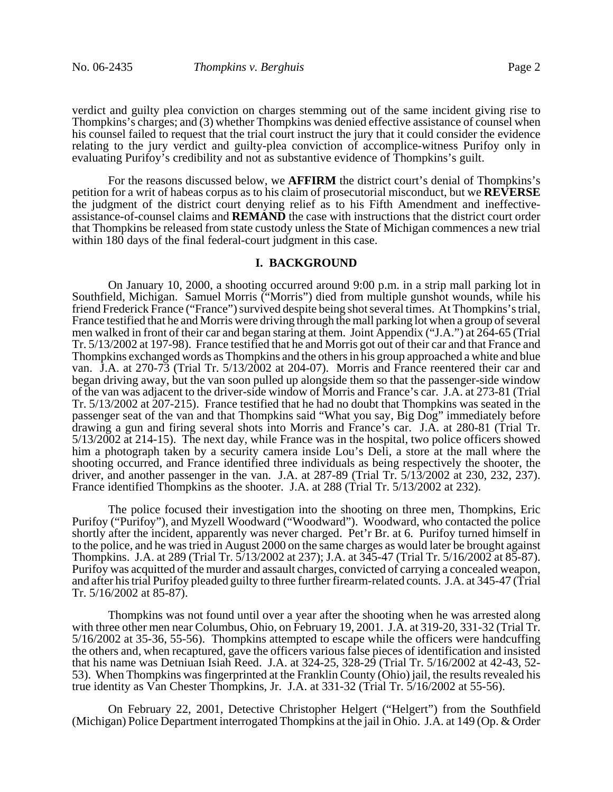verdict and guilty plea conviction on charges stemming out of the same incident giving rise to Thompkins's charges; and (3) whether Thompkins was denied effective assistance of counsel when his counsel failed to request that the trial court instruct the jury that it could consider the evidence relating to the jury verdict and guilty-plea conviction of accomplice-witness Purifoy only in evaluating Purifoy's credibility and not as substantive evidence of Thompkins's guilt.

For the reasons discussed below, we **AFFIRM** the district court's denial of Thompkins's petition for a writ of habeas corpus as to his claim of prosecutorial misconduct, but we **REVERSE** the judgment of the district court denying relief as to his Fifth Amendment and ineffectiveassistance-of-counsel claims and **REMAND** the case with instructions that the district court order that Thompkins be released from state custody unless the State of Michigan commences a new trial within 180 days of the final federal-court judgment in this case.

# **I. BACKGROUND**

On January 10, 2000, a shooting occurred around 9:00 p.m. in a strip mall parking lot in Southfield, Michigan. Samuel Morris ("Morris") died from multiple gunshot wounds, while his friend Frederick France ("France") survived despite being shot several times. At Thompkins's trial, France testified that he and Morris were driving through the mall parking lot when a group of several men walked in front of their car and began staring at them. Joint Appendix ("J.A.") at 264-65 (Trial Tr. 5/13/2002 at 197-98). France testified that he and Morris got out of their car and that France and Thompkins exchanged words as Thompkins and the others in his group approached a white and blue van. J.A. at 270-73 (Trial Tr. 5/13/2002 at 204-07). Morris and France reentered their car and began driving away, but the van soon pulled up alongside them so that the passenger-side window of the van was adjacent to the driver-side window of Morris and France's car. J.A. at 273-81 (Trial Tr. 5/13/2002 at 207-215). France testified that he had no doubt that Thompkins was seated in the passenger seat of the van and that Thompkins said "What you say, Big Dog" immediately before drawing a gun and firing several shots into Morris and France's car. J.A. at 280-81 (Trial Tr. 5/13/2002 at 214-15). The next day, while France was in the hospital, two police officers showed him a photograph taken by a security camera inside Lou's Deli, a store at the mall where the shooting occurred, and France identified three individuals as being respectively the shooter, the driver, and another passenger in the van. J.A. at 287-89 (Trial Tr. 5/13/2002 at 230, 232, 237). France identified Thompkins as the shooter. J.A. at 288 (Trial Tr. 5/13/2002 at 232).

The police focused their investigation into the shooting on three men, Thompkins, Eric Purifoy ("Purifoy"), and Myzell Woodward ("Woodward"). Woodward, who contacted the police shortly after the incident, apparently was never charged. Pet'r Br. at 6. Purifoy turned himself in to the police, and he was tried in August 2000 on the same charges as would later be brought against Thompkins. J.A. at 289 (Trial Tr. 5/13/2002 at 237); J.A. at 345-47 (Trial Tr. 5/16/2002 at 85-87). Purifoy was acquitted of the murder and assault charges, convicted of carrying a concealed weapon, and after his trial Purifoy pleaded guilty to three further firearm-related counts. J.A. at 345-47 (Trial Tr. 5/16/2002 at 85-87).

Thompkins was not found until over a year after the shooting when he was arrested along with three other men near Columbus, Ohio, on February 19, 2001. J.A. at 319-20, 331-32 (Trial Tr. 5/16/2002 at 35-36, 55-56). Thompkins attempted to escape while the officers were handcuffing the others and, when recaptured, gave the officers various false pieces of identification and insisted that his name was Detniuan Isiah Reed. J.A. at 324-25, 328-29 (Trial Tr. 5/16/2002 at 42-43, 52- 53). When Thompkins was fingerprinted at the Franklin County (Ohio) jail, the results revealed his true identity as Van Chester Thompkins, Jr. J.A. at 331-32 (Trial Tr. 5/16/2002 at 55-56).

On February 22, 2001, Detective Christopher Helgert ("Helgert") from the Southfield (Michigan) Police Department interrogated Thompkins at the jail in Ohio. J.A. at 149 (Op. & Order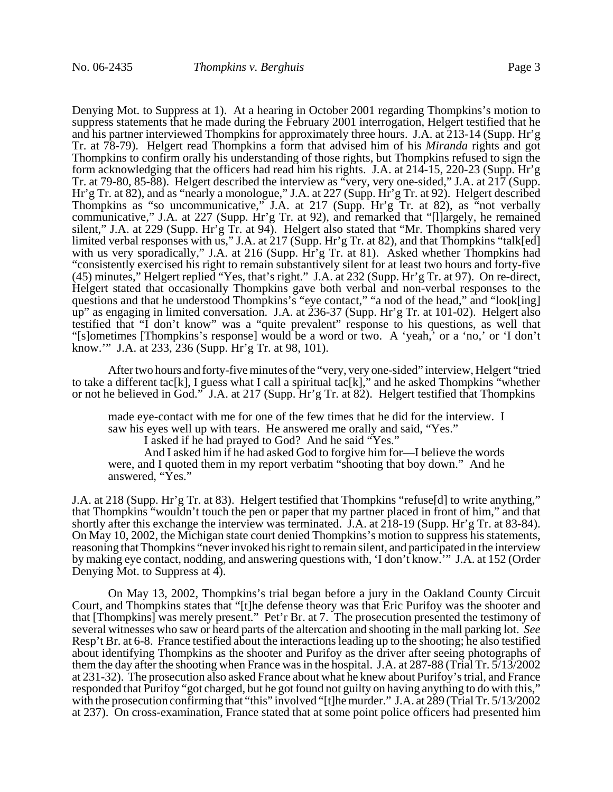Denying Mot. to Suppress at 1). At a hearing in October 2001 regarding Thompkins's motion to suppress statements that he made during the February 2001 interrogation, Helgert testified that he and his partner interviewed Thompkins for approximately three hours. J.A. at 213-14 (Supp. Hr'g Tr. at 78-79). Helgert read Thompkins a form that advised him of his *Miranda* rights and got Thompkins to confirm orally his understanding of those rights, but Thompkins refused to sign the form acknowledging that the officers had read him his rights. J.A. at 214-15, 220-23 (Supp. Hr'g Tr. at 79-80, 85-88). Helgert described the interview as "very, very one-sided," J.A. at 217 (Supp. Hr'g Tr. at 82), and as "nearly a monologue," J.A. at 227 (Supp. Hr'g Tr. at 92). Helgert described Thompkins as "so uncommunicative," J.A. at 217 (Supp. Hr'g Tr. at 82), as "not verbally communicative," J.A. at 227 (Supp. Hr'g Tr. at 92), and remarked that "[l]argely, he remained silent," J.A. at 229 (Supp. Hr'g Tr. at 94). Helgert also stated that "Mr. Thompkins shared very limited verbal responses with us," J.A. at 217 (Supp. Hr'g Tr. at 82), and that Thompkins "talk[ed] with us very sporadically," J.A. at 216 (Supp. Hr'g Tr. at 81). Asked whether Thompkins had "consistently exercised his right to remain substantively silent for at least two hours and forty-five (45) minutes," Helgert replied "Yes, that's right." J.A. at 232 (Supp. Hr'g Tr. at 97). On re-direct, Helgert stated that occasionally Thompkins gave both verbal and non-verbal responses to the questions and that he understood Thompkins's "eye contact," "a nod of the head," and "look[ing] up" as engaging in limited conversation. J.A. at 236-37 (Supp. Hr'g Tr. at 101-02). Helgert also testified that "I don't know" was a "quite prevalent" response to his questions, as well that "[s]ometimes [Thompkins's response] would be a word or two. A 'yeah,' or a 'no,' or 'I don't know.'" J.A. at 233, 236 (Supp. Hr'g Tr. at 98, 101).

After two hours and forty-five minutes of the "very, very one-sided" interview, Helgert "tried to take a different tac[k], I guess what I call a spiritual tac[k]," and he asked Thompkins "whether or not he believed in God." J.A. at 217 (Supp. Hr'g Tr. at 82). Helgert testified that Thompkins

made eye-contact with me for one of the few times that he did for the interview. I saw his eyes well up with tears. He answered me orally and said, "Yes."

I asked if he had prayed to God? And he said "Yes."

And I asked him if he had asked God to forgive him for—I believe the words were, and I quoted them in my report verbatim "shooting that boy down." And he answered, "Yes."

J.A. at 218 (Supp. Hr'g Tr. at 83). Helgert testified that Thompkins "refuse[d] to write anything," that Thompkins "wouldn't touch the pen or paper that my partner placed in front of him," and that shortly after this exchange the interview was terminated. J.A. at 218-19 (Supp. Hr'g Tr. at 83-84). On May 10, 2002, the Michigan state court denied Thompkins's motion to suppress his statements, reasoning that Thompkins "never invoked his right to remain silent, and participated in the interview by making eye contact, nodding, and answering questions with, 'I don't know.'" J.A. at 152 (Order Denying Mot. to Suppress at 4).

On May 13, 2002, Thompkins's trial began before a jury in the Oakland County Circuit Court, and Thompkins states that "[t]he defense theory was that Eric Purifoy was the shooter and that [Thompkins] was merely present." Pet'r Br. at 7. The prosecution presented the testimony of several witnesses who saw or heard parts of the altercation and shooting in the mall parking lot. *See* Resp't Br. at 6-8. France testified about the interactions leading up to the shooting; he also testified about identifying Thompkins as the shooter and Purifoy as the driver after seeing photographs of them the day after the shooting when France was in the hospital. J.A. at 287-88 (Trial Tr. 5/13/2002 at 231-32). The prosecution also asked France about what he knew about Purifoy's trial, and France responded that Purifoy "got charged, but he got found not guilty on having anything to do with this," with the prosecution confirming that "this" involved "[t]he murder." J.A. at 289 (Trial Tr. 5/13/2002 at 237). On cross-examination, France stated that at some point police officers had presented him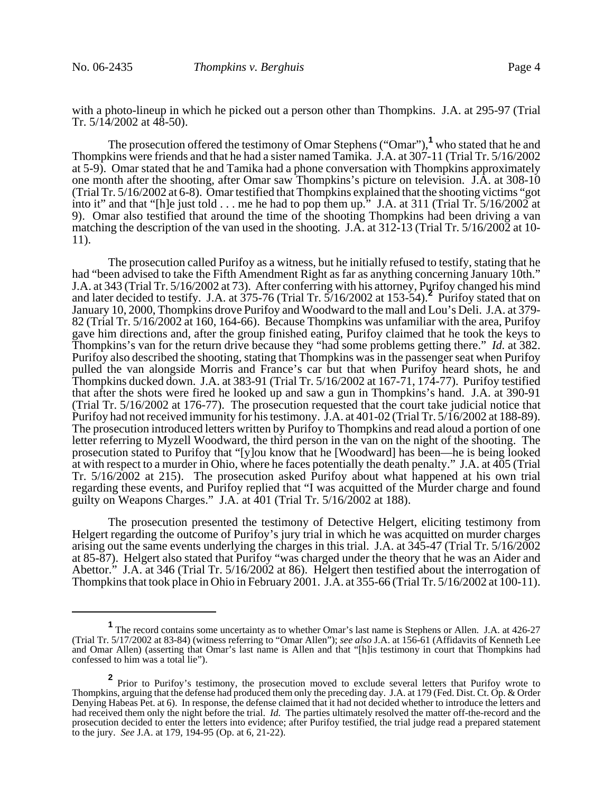with a photo-lineup in which he picked out a person other than Thompkins. J.A. at 295-97 (Trial Tr.  $5/14/2002$  at  $48-50$ ).

The prosecution offered the testimony of Omar Stephens ("Omar"),**<sup>1</sup>** who stated that he and Thompkins were friends and that he had a sister named Tamika. J.A. at 307-11 (Trial Tr. 5/16/2002 at 5-9). Omar stated that he and Tamika had a phone conversation with Thompkins approximately one month after the shooting, after Omar saw Thompkins's picture on television. J.A. at 308-10 (Trial Tr. 5/16/2002 at 6-8). Omar testified that Thompkins explained that the shooting victims "got into it" and that "[h]e just told . . . me he had to pop them up." J.A. at 311 (Trial Tr. 5/16/2002 at 9). Omar also testified that around the time of the shooting Thompkins had been driving a van matching the description of the van used in the shooting. J.A. at 312-13 (Trial Tr. 5/16/2002 at 10- 11).

The prosecution called Purifoy as a witness, but he initially refused to testify, stating that he had "been advised to take the Fifth Amendment Right as far as anything concerning January 10th." J.A. at 343 (Trial Tr. 5/16/2002 at 73). After conferring with his attorney, Purifoy changed his mind and later decided to testify. J.A. at 375-76 (Trial Tr. 5/16/2002 at 153-54).**<sup>2</sup>** Purifoy stated that on January 10, 2000, Thompkins drove Purifoy and Woodward to the mall and Lou's Deli. J.A. at 379- 82 (Trial Tr. 5/16/2002 at 160, 164-66). Because Thompkins was unfamiliar with the area, Purifoy gave him directions and, after the group finished eating, Purifoy claimed that he took the keys to Thompkins's van for the return drive because they "had some problems getting there." *Id.* at 382. Purifoy also described the shooting, stating that Thompkins was in the passenger seat when Purifoy pulled the van alongside Morris and France's car but that when Purifoy heard shots, he and Thompkins ducked down. J.A. at 383-91 (Trial Tr. 5/16/2002 at 167-71, 174-77). Purifoy testified that after the shots were fired he looked up and saw a gun in Thompkins's hand. J.A. at 390-91 (Trial Tr. 5/16/2002 at 176-77). The prosecution requested that the court take judicial notice that Purifoy had not received immunity for his testimony. J.A. at 401-02 (Trial Tr. 5/16/2002 at 188-89). The prosecution introduced letters written by Purifoy to Thompkins and read aloud a portion of one letter referring to Myzell Woodward, the third person in the van on the night of the shooting. The prosecution stated to Purifoy that "[y]ou know that he [Woodward] has been—he is being looked at with respect to a murder in Ohio, where he faces potentially the death penalty." J.A. at 405 (Trial Tr. 5/16/2002 at 215). The prosecution asked Purifoy about what happened at his own trial regarding these events, and Purifoy replied that "I was acquitted of the Murder charge and found guilty on Weapons Charges." J.A. at  $\overline{401}$  (Trial Tr. 5/16/2002 at 188).

The prosecution presented the testimony of Detective Helgert, eliciting testimony from Helgert regarding the outcome of Purifoy's jury trial in which he was acquitted on murder charges arising out the same events underlying the charges in this trial. J.A. at 345-47 (Trial Tr. 5/16/2002 at 85-87). Helgert also stated that Purifoy "was charged under the theory that he was an Aider and Abettor." J.A. at 346 (Trial Tr. 5/16/2002 at 86). Helgert then testified about the interrogation of Thompkins that took place in Ohio in February 2001. J.A. at 355-66 (Trial Tr. 5/16/2002 at 100-11).

<sup>&</sup>lt;sup>1</sup> The record contains some uncertainty as to whether Omar's last name is Stephens or Allen. J.A. at 426-27 (Trial Tr. 5/17/2002 at 83-84) (witness referring to "Omar Allen"); *see also* J.A. at 156-61 (Affidavits of Kenneth Lee and Omar Allen) (asserting that Omar's last name is Allen and that "[h]is testimony in court that Thompkins had confessed to him was a total lie").

**<sup>2</sup>** Prior to Purifoy's testimony, the prosecution moved to exclude several letters that Purifoy wrote to Thompkins, arguing that the defense had produced them only the preceding day. J.A. at 179 (Fed. Dist. Ct. Op. & Order Denying Habeas Pet. at 6). In response, the defense claimed that it had not decided whether to introduce the letters and had received them only the night before the trial. *Id.* The parties ultimately resolved the matter off-the-record and the prosecution decided to enter the letters into evidence; after Purifoy testified, the trial judge read a prepared statement to the jury. *See* J.A. at 179, 194-95 (Op. at 6, 21-22).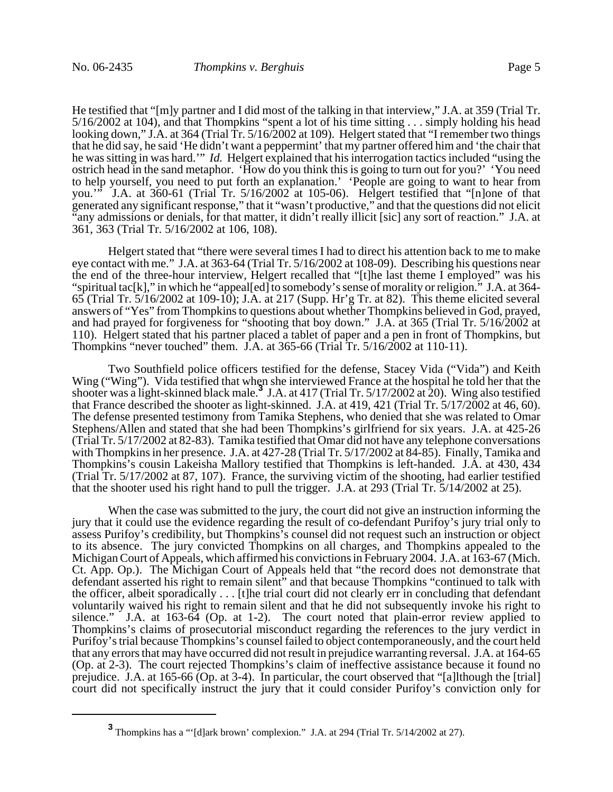He testified that "[m]y partner and I did most of the talking in that interview," J.A. at 359 (Trial Tr. 5/16/2002 at 104), and that Thompkins "spent a lot of his time sitting . . . simply holding his head looking down," J.A. at 364 (Trial Tr. 5/16/2002 at 109). Helgert stated that "I remember two things that he did say, he said 'He didn't want a peppermint' that my partner offered him and 'the chair that he was sitting in was hard.'" *Id.* Helgert explained that his interrogation tactics included "using the ostrich head in the sand metaphor. 'How do you think this is going to turn out for you?' 'You need to help yourself, you need to put forth an explanation.' 'People are going to want to hear from you.'" J.A. at 360-61 (Trial Tr. 5/16/2002 at 105-06). Helgert testified that "[n]one of that generated any significant response," that it "wasn't productive," and that the questions did not elicit "any admissions or denials, for that matter, it didn't really illicit [sic] any sort of reaction." J.A. at 361, 363 (Trial Tr. 5/16/2002 at 106, 108).

Helgert stated that "there were several times I had to direct his attention back to me to make eye contact with me." J.A. at 363-64 (Trial Tr. 5/16/2002 at 108-09). Describing his questions near the end of the three-hour interview, Helgert recalled that "[t]he last theme I employed" was his "spiritual tac[k]," in which he "appeal[ed] to somebody's sense of morality or religion." J.A. at 364- 65 (Trial Tr. 5/16/2002 at 109-10); J.A. at 217 (Supp. Hr'g Tr. at 82). This theme elicited several answers of "Yes" from Thompkins to questions about whether Thompkins believed in God, prayed, and had prayed for forgiveness for "shooting that boy down." J.A. at 365 (Trial Tr. 5/16/2002 at 110). Helgert stated that his partner placed a tablet of paper and a pen in front of Thompkins, but Thompkins "never touched" them. J.A. at 365-66 (Trial Tr. 5/16/2002 at 110-11).

Two Southfield police officers testified for the defense, Stacey Vida ("Vida") and Keith Wing ("Wing"). Vida testified that when she interviewed France at the hospital he told her that the shooter was a light-skinned black male.**<sup>3</sup>** J.A. at 417 (Trial Tr. 5/17/2002 at 20). Wing also testified that France described the shooter as light-skinned. J.A. at 419, 421 (Trial Tr. 5/17/2002 at 46, 60). The defense presented testimony from Tamika Stephens, who denied that she was related to Omar Stephens/Allen and stated that she had been Thompkins's girlfriend for six years. J.A. at 425-26 (Trial Tr. 5/17/2002 at 82-83). Tamika testified that Omar did not have any telephone conversations with Thompkins in her presence. J.A. at 427-28 (Trial Tr. 5/17/2002 at 84-85). Finally, Tamika and Thompkins's cousin Lakeisha Mallory testified that Thompkins is left-handed. J.A. at 430, 434 (Trial Tr. 5/17/2002 at 87, 107). France, the surviving victim of the shooting, had earlier testified that the shooter used his right hand to pull the trigger. J.A. at 293 (Trial Tr. 5/14/2002 at 25).

When the case was submitted to the jury, the court did not give an instruction informing the jury that it could use the evidence regarding the result of co-defendant Purifoy's jury trial only to assess Purifoy's credibility, but Thompkins's counsel did not request such an instruction or object to its absence. The jury convicted Thompkins on all charges, and Thompkins appealed to the Michigan Court of Appeals, which affirmed his convictions in February 2004. J.A. at 163-67 (Mich. Ct. App. Op.). The Michigan Court of Appeals held that "the record does not demonstrate that defendant asserted his right to remain silent" and that because Thompkins "continued to talk with the officer, albeit sporadically . . . [t]he trial court did not clearly err in concluding that defendant voluntarily waived his right to remain silent and that he did not subsequently invoke his right to silence." J.A. at 163-64 (Op. at 1-2). The court noted that plain-error review applied to Thompkins's claims of prosecutorial misconduct regarding the references to the jury verdict in Purifoy's trial because Thompkins's counsel failed to object contemporaneously, and the court held that any errors that may have occurred did not result in prejudice warranting reversal. J.A. at 164-65 (Op. at 2-3). The court rejected Thompkins's claim of ineffective assistance because it found no prejudice. J.A. at 165-66 (Op. at 3-4). In particular, the court observed that "[a]lthough the [trial] court did not specifically instruct the jury that it could consider Purifoy's conviction only for

**<sup>3</sup>** Thompkins has a "'[d]ark brown' complexion." J.A. at 294 (Trial Tr. 5/14/2002 at 27).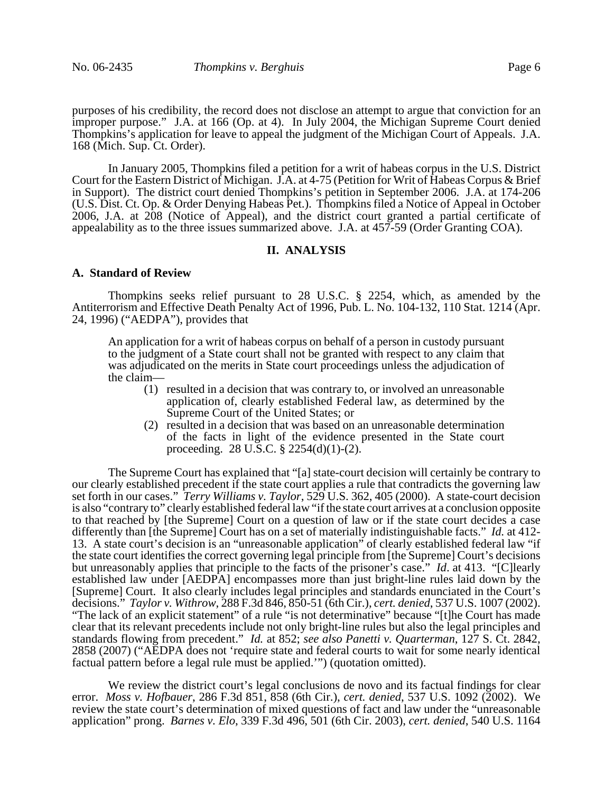purposes of his credibility, the record does not disclose an attempt to argue that conviction for an improper purpose." J.A. at 166 (Op. at 4). In July 2004, the Michigan Supreme Court denied Thompkins's application for leave to appeal the judgment of the Michigan Court of Appeals. J.A. 168 (Mich. Sup. Ct. Order).

In January 2005, Thompkins filed a petition for a writ of habeas corpus in the U.S. District Court for the Eastern District of Michigan. J.A. at 4-75 (Petition for Writ of Habeas Corpus & Brief in Support). The district court denied Thompkins's petition in September 2006. J.A. at 174-206 (U.S. Dist. Ct. Op. & Order Denying Habeas Pet.). Thompkins filed a Notice of Appeal in October 2006, J.A. at 208 (Notice of Appeal), and the district court granted a partial certificate of appealability as to the three issues summarized above. J.A. at 457-59 (Order Granting COA).

# **II. ANALYSIS**

#### **A. Standard of Review**

Thompkins seeks relief pursuant to 28 U.S.C. § 2254, which, as amended by the Antiterrorism and Effective Death Penalty Act of 1996, Pub. L. No. 104-132, 110 Stat. 1214 (Apr. 24, 1996) ("AEDPA"), provides that

An application for a writ of habeas corpus on behalf of a person in custody pursuant to the judgment of a State court shall not be granted with respect to any claim that was adjudicated on the merits in State court proceedings unless the adjudication of the claim—

- (1) resulted in a decision that was contrary to, or involved an unreasonable application of, clearly established Federal law, as determined by the Supreme Court of the United States; or
- (2) resulted in a decision that was based on an unreasonable determination of the facts in light of the evidence presented in the State court proceeding. 28 U.S.C. § 2254(d)(1)-(2).

The Supreme Court has explained that "[a] state-court decision will certainly be contrary to our clearly established precedent if the state court applies a rule that contradicts the governing law set forth in our cases." *Terry Williams v. Taylor*, 529 U.S. 362, 405 (2000). A state-court decision is also "contrary to" clearly established federal law "if the state court arrives at a conclusion opposite to that reached by [the Supreme] Court on a question of law or if the state court decides a case differently than [the Supreme] Court has on a set of materially indistinguishable facts." *Id.* at 412- 13. A state court's decision is an "unreasonable application" of clearly established federal law "if the state court identifies the correct governing legal principle from [the Supreme] Court's decisions but unreasonably applies that principle to the facts of the prisoner's case." *Id*. at 413. "[C]learly established law under [AEDPA] encompasses more than just bright-line rules laid down by the [Supreme] Court. It also clearly includes legal principles and standards enunciated in the Court's decisions." *Taylor v. Withrow*, 288 F.3d 846, 850-51 (6th Cir.), *cert. denied*, 537 U.S. 1007 (2002). "The lack of an explicit statement" of a rule "is not determinative" because "[t]he Court has made clear that its relevant precedents include not only bright-line rules but also the legal principles and standards flowing from precedent." *Id.* at 852; *see also Panetti v. Quarterman*, 127 S. Ct. 2842, 2858 (2007) ("AEDPA does not 'require state and federal courts to wait for some nearly identical factual pattern before a legal rule must be applied.'") (quotation omitted).

We review the district court's legal conclusions de novo and its factual findings for clear error. *Moss v. Hofbauer*, 286 F.3d 851, 858 (6th Cir.), *cert. denied*, 537 U.S. 1092 (2002). We review the state court's determination of mixed questions of fact and law under the "unreasonable application" prong. *Barnes v. Elo*, 339 F.3d 496, 501 (6th Cir. 2003), *cert. denied*, 540 U.S. 1164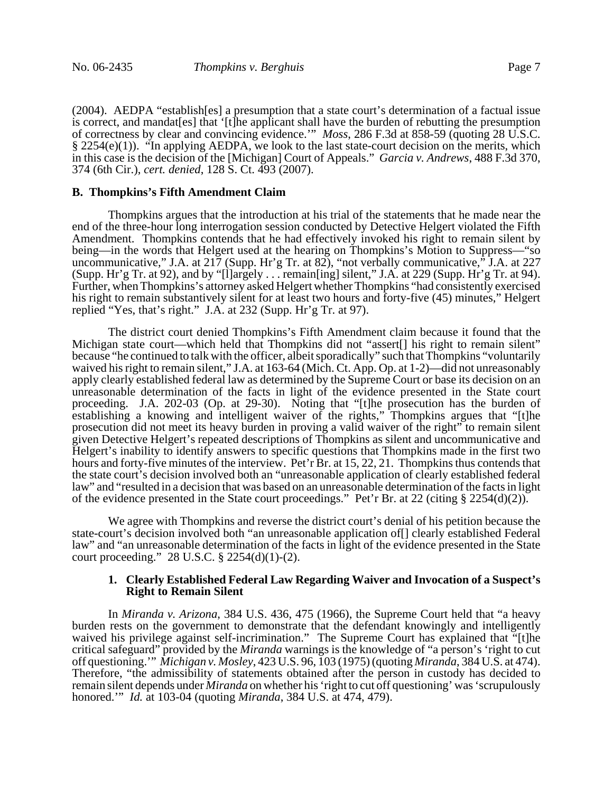(2004). AEDPA "establish[es] a presumption that a state court's determination of a factual issue is correct, and mandat[es] that '[t]he applicant shall have the burden of rebutting the presumption of correctness by clear and convincing evidence.'" *Moss*, 286 F.3d at 858-59 (quoting 28 U.S.C. § 2254(e)(1)). "In applying AEDPA, we look to the last state-court decision on the merits, which in this case is the decision of the [Michigan] Court of Appeals." *Garcia v. Andrews*, 488 F.3d 370, 374 (6th Cir.), *cert. denied*, 128 S. Ct. 493 (2007).

# **B. Thompkins's Fifth Amendment Claim**

Thompkins argues that the introduction at his trial of the statements that he made near the end of the three-hour long interrogation session conducted by Detective Helgert violated the Fifth Amendment. Thompkins contends that he had effectively invoked his right to remain silent by being—in the words that Helgert used at the hearing on Thompkins's Motion to Suppress—"so uncommunicative," J.A. at 217 (Supp. Hr'g Tr. at 82), "not verbally communicative," J.A. at 227 (Supp. Hr'g Tr. at 92), and by "[l]argely . . . remain[ing] silent," J.A. at 229 (Supp. Hr'g Tr. at 94). Further, when Thompkins's attorney asked Helgert whether Thompkins "had consistently exercised his right to remain substantively silent for at least two hours and forty-five (45) minutes," Helgert replied "Yes, that's right." J.A. at 232 (Supp. Hr'g Tr. at 97).

The district court denied Thompkins's Fifth Amendment claim because it found that the Michigan state court—which held that Thompkins did not "assert[] his right to remain silent" because "he continued to talk with the officer, albeit sporadically" such that Thompkins "voluntarily waived his right to remain silent," J.A. at 163-64 (Mich. Ct. App. Op. at 1-2)—did not unreasonably apply clearly established federal law as determined by the Supreme Court or base its decision on an unreasonable determination of the facts in light of the evidence presented in the State court proceeding. J.A. 202-03 (Op. at 29-30). Noting that "[t]he prosecution has the burden of establishing a knowing and intelligent waiver of the rights," Thompkins argues that "[t]he prosecution did not meet its heavy burden in proving a valid waiver of the right" to remain silent given Detective Helgert's repeated descriptions of Thompkins as silent and uncommunicative and Helgert's inability to identify answers to specific questions that Thompkins made in the first two hours and forty-five minutes of the interview. Pet'r Br. at 15, 22, 21. Thompkins thus contends that the state court's decision involved both an "unreasonable application of clearly established federal law" and "resulted in a decision that was based on an unreasonable determination of the facts in light of the evidence presented in the State court proceedings." Pet'r Br. at 22 (citing § 2254(d)(2)).

We agree with Thompkins and reverse the district court's denial of his petition because the state-court's decision involved both "an unreasonable application of[] clearly established Federal law" and "an unreasonable determination of the facts in light of the evidence presented in the State court proceeding." 28 U.S.C. § 2254(d)(1)-(2).

## **1. Clearly Established Federal Law Regarding Waiver and Invocation of a Suspect's Right to Remain Silent**

In *Miranda v. Arizona*, 384 U.S. 436, 475 (1966), the Supreme Court held that "a heavy burden rests on the government to demonstrate that the defendant knowingly and intelligently waived his privilege against self-incrimination." The Supreme Court has explained that "[t]he critical safeguard" provided by the *Miranda* warnings is the knowledge of "a person's 'right to cut off questioning.'" *Michigan v. Mosley*, 423 U.S. 96, 103 (1975) (quoting *Miranda*, 384 U.S. at 474). Therefore, "the admissibility of statements obtained after the person in custody has decided to remain silent depends under *Miranda* on whether his 'right to cut off questioning' was 'scrupulously honored.'" *Id.* at 103-04 (quoting *Miranda*, 384 U.S. at 474, 479).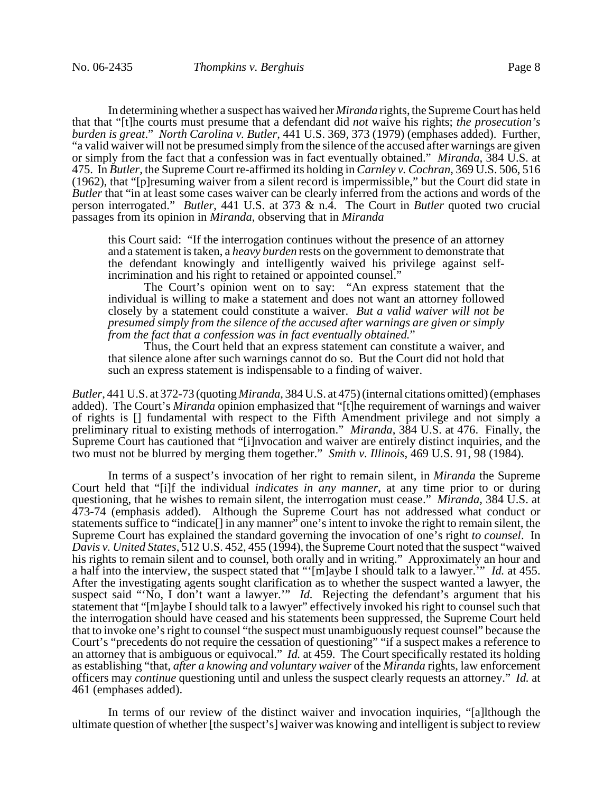In determining whether a suspect has waived her *Miranda* rights, the Supreme Court has held that that "[t]he courts must presume that a defendant did *not* waive his rights; *the prosecution's burden is great*." *North Carolina v. Butler*, 441 U.S. 369, 373 (1979) (emphases added). Further, "a valid waiver will not be presumed simply from the silence of the accused after warnings are given or simply from the fact that a confession was in fact eventually obtained." *Miranda*, 384 U.S. at 475. In *Butler*, the Supreme Court re-affirmed its holding in *Carnley v. Cochran*, 369 U.S. 506, 516 (1962), that "[p]resuming waiver from a silent record is impermissible," but the Court did state in *Butler* that "in at least some cases waiver can be clearly inferred from the actions and words of the person interrogated." *Butler*, 441 U.S. at 373 & n.4. The Court in *Butler* quoted two crucial passages from its opinion in *Miranda*, observing that in *Miranda*

this Court said: "If the interrogation continues without the presence of an attorney and a statement is taken, a *heavy burden* rests on the government to demonstrate that the defendant knowingly and intelligently waived his privilege against selfincrimination and his right to retained or appointed counsel."

The Court's opinion went on to say: "An express statement that the individual is willing to make a statement and does not want an attorney followed closely by a statement could constitute a waiver. *But a valid waiver will not be presumed simply from the silence of the accused after warnings are given or simply from the fact that a confession was in fact eventually obtained.*"<br>Thus, the Court held that an express statement can constitute a waiver, and

that silence alone after such warnings cannot do so. But the Court did not hold that such an express statement is indispensable to a finding of waiver.

*Butler*, 441 U.S. at 372-73 (quoting *Miranda*, 384 U.S. at 475) (internal citations omitted) (emphases added). The Court's *Miranda* opinion emphasized that "[t]he requirement of warnings and waiver of rights is [] fundamental with respect to the Fifth Amendment privilege and not simply a preliminary ritual to existing methods of interrogation." *Miranda*, 384 U.S. at 476. Finally, the Supreme Court has cautioned that "[i]nvocation and waiver are entirely distinct inquiries, and the two must not be blurred by merging them together." *Smith v. Illinois*, 469 U.S. 91, 98 (1984).

In terms of a suspect's invocation of her right to remain silent, in *Miranda* the Supreme Court held that "[i]f the individual *indicates in any manner*, at any time prior to or during questioning, that he wishes to remain silent, the interrogation must cease." *Miranda*, 384 U.S. at 473-74 (emphasis added). Although the Supreme Court has not addressed what conduct or statements suffice to "indicate<sup>[]</sup> in any manner" one's intent to invoke the right to remain silent, the Supreme Court has explained the standard governing the invocation of one's right *to counsel*. In *Davis v. United States*, 512 U.S. 452, 455 (1994), the Supreme Court noted that the suspect "waived his rights to remain silent and to counsel, both orally and in writing." Approximately an hour and a half into the interview, the suspect stated that "'[m]aybe I should talk to a lawyer.'" *Id.* at 455. After the investigating agents sought clarification as to whether the suspect wanted a lawyer, the suspect said "No, I don't want a lawyer." *Id.* Rejecting the defendant's argument that his statement that "[m]aybe I should talk to a lawyer" effectively invoked his right to counsel such that the interrogation should have ceased and his statements been suppressed, the Supreme Court held that to invoke one's right to counsel "the suspect must unambiguously request counsel" because the Court's "precedents do not require the cessation of questioning" "if a suspect makes a reference to an attorney that is ambiguous or equivocal." *Id.* at 459. The Court specifically restated its holding as establishing "that, *after a knowing and voluntary waiver* of the *Miranda* rights, law enforcement officers may *continue* questioning until and unless the suspect clearly requests an attorney." *Id.* at 461 (emphases added).

In terms of our review of the distinct waiver and invocation inquiries, "[a]lthough the ultimate question of whether [the suspect's] waiver was knowing and intelligent is subject to review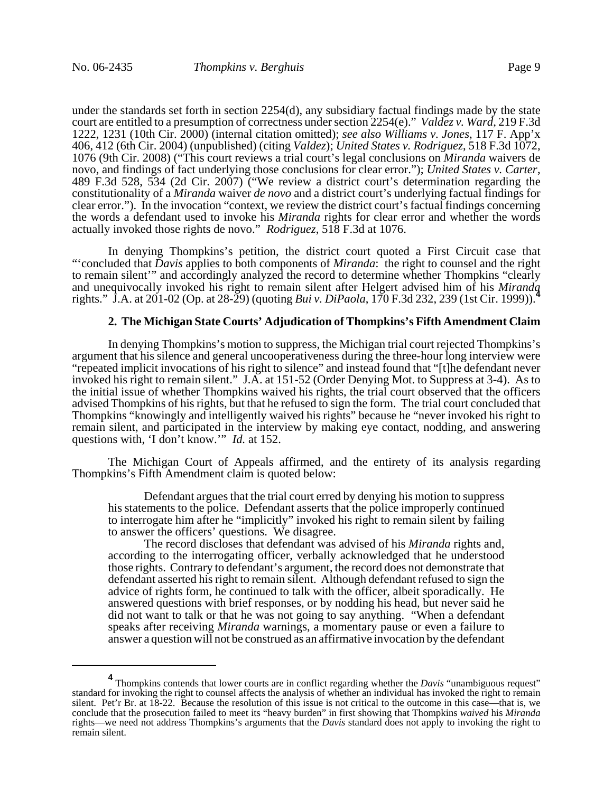under the standards set forth in section 2254(d), any subsidiary factual findings made by the state court are entitled to a presumption of correctness under section 2254(e)." *Valdez v. Ward*, 219 F.3d 1222, 1231 (10th Cir. 2000) (internal citation omitted); *see also Williams v. Jones*, 117 F. App'x 406, 412 (6th Cir. 2004) (unpublished) (citing *Valdez*); *United States v. Rodriguez*, 518 F.3d 1072, 1076 (9th Cir. 2008) ("This court reviews a trial court's legal conclusions on *Miranda* waivers de novo, and findings of fact underlying those conclusions for clear error."); *United States v. Carter*, 489 F.3d 528, 534 (2d Cir. 2007) ("We review a district court's determination regarding the constitutionality of a *Miranda* waiver *de novo* and a district court's underlying factual findings for clear error."). In the invocation "context, we review the district court's factual findings concerning the words a defendant used to invoke his *Miranda* rights for clear error and whether the words actually invoked those rights de novo." *Rodriguez*, 518 F.3d at 1076.

In denying Thompkins's petition, the district court quoted a First Circuit case that "'concluded that *Davis* applies to both components of *Miranda*: the right to counsel and the right to remain silent'" and accordingly analyzed the record to determine whether Thompkins "clearly and unequivocally invoked his right to remain silent after Helgert advised him of his *Miranda* rights." J.A. at 201-02 (Op. at 28-29) (quoting *Bui v. DiPaola*, 170 F.3d 232, 239 (1st Cir. 1999)).**<sup>4</sup>**

# **2. The Michigan State Courts' Adjudication of Thompkins's Fifth Amendment Claim**

In denying Thompkins's motion to suppress, the Michigan trial court rejected Thompkins's argument that his silence and general uncooperativeness during the three-hour long interview were "repeated implicit invocations of his right to silence" and instead found that "[t]he defendant never invoked his right to remain silent." J.A. at 151-52 (Order Denying Mot. to Suppress at 3-4). As to the initial issue of whether Thompkins waived his rights, the trial court observed that the officers advised Thompkins of his rights, but that he refused to sign the form. The trial court concluded that Thompkins "knowingly and intelligently waived his rights" because he "never invoked his right to remain silent, and participated in the interview by making eye contact, nodding, and answering questions with, 'I don't know.'" *Id.* at 152.

The Michigan Court of Appeals affirmed, and the entirety of its analysis regarding Thompkins's Fifth Amendment claim is quoted below:

Defendant argues that the trial court erred by denying his motion to suppress his statements to the police. Defendant asserts that the police improperly continued to interrogate him after he "implicitly" invoked his right to remain silent by failing to answer the officers' questions. We disagree.

The record discloses that defendant was advised of his *Miranda* rights and, according to the interrogating officer, verbally acknowledged that he understood those rights. Contrary to defendant's argument, the record does not demonstrate that defendant asserted his right to remain silent. Although defendant refused to sign the advice of rights form, he continued to talk with the officer, albeit sporadically. He answered questions with brief responses, or by nodding his head, but never said he did not want to talk or that he was not going to say anything. "When a defendant speaks after receiving *Miranda* warnings, a momentary pause or even a failure to answer a question will not be construed as an affirmative invocation by the defendant

**<sup>4</sup>** Thompkins contends that lower courts are in conflict regarding whether the *Davis* "unambiguous request" standard for invoking the right to counsel affects the analysis of whether an individual has invoked the right to remain silent. Pet'r Br. at 18-22. Because the resolution of this issue is not critical to the outcome in this case—that is, we conclude that the prosecution failed to meet its "heavy burden" in first showing that Thompkins *waived* his *Miranda* rights—we need not address Thompkins's arguments that the *Davis* standard does not apply to invoking the right to remain silent.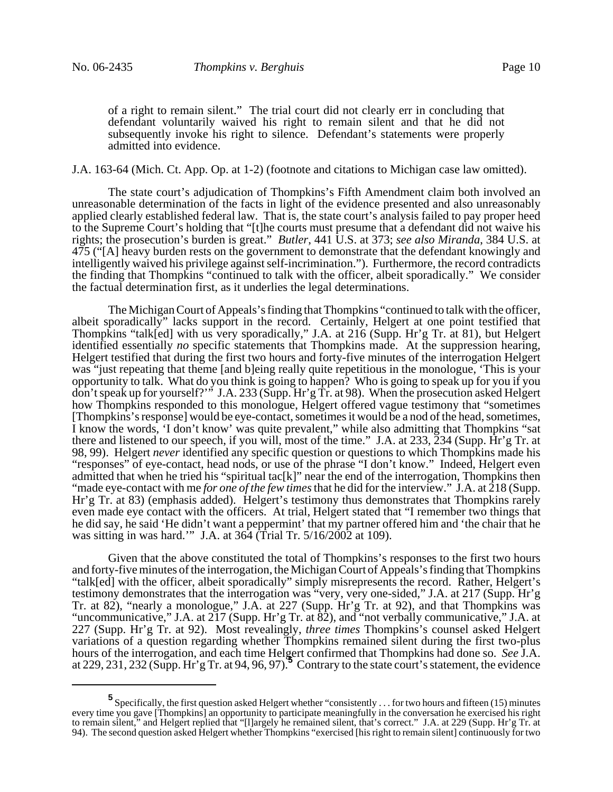of a right to remain silent." The trial court did not clearly err in concluding that defendant voluntarily waived his right to remain silent and that he did not subsequently invoke his right to silence. Defendant's statements were properly admitted into evidence.

J.A. 163-64 (Mich. Ct. App. Op. at 1-2) (footnote and citations to Michigan case law omitted).

The state court's adjudication of Thompkins's Fifth Amendment claim both involved an unreasonable determination of the facts in light of the evidence presented and also unreasonably applied clearly established federal law. That is, the state court's analysis failed to pay proper heed to the Supreme Court's holding that "[t]he courts must presume that a defendant did not waive his rights; the prosecution's burden is great." *Butler*, 441 U.S. at 373; *see also Miranda*, 384 U.S. at 475 ("[A] heavy burden rests on the government to demonstrate that the defendant knowingly and intelligently waived his privilege against self-incrimination."). Furthermore, the record contradicts the finding that Thompkins "continued to talk with the officer, albeit sporadically." We consider the factual determination first, as it underlies the legal determinations.

The Michigan Court of Appeals's finding that Thompkins "continued to talk with the officer, albeit sporadically" lacks support in the record. Certainly, Helgert at one point testified that Thompkins "talk[ed] with us very sporadically," J.A. at 216 (Supp. Hr'g Tr. at 81), but Helgert identified essentially *no* specific statements that Thompkins made. At the suppression hearing, Helgert testified that during the first two hours and forty-five minutes of the interrogation Helgert was "just repeating that theme [and b]eing really quite repetitious in the monologue, 'This is your opportunity to talk. What do you think is going to happen? Who is going to speak up for you if you don't speak up for yourself?'" J.A. 233 (Supp. Hr'g Tr. at 98). When the prosecution asked Helgert how Thompkins responded to this monologue, Helgert offered vague testimony that "sometimes [Thompkins's response] would be eye-contact, sometimes it would be a nod of the head, sometimes, I know the words, 'I don't know' was quite prevalent," while also admitting that Thompkins "sat there and listened to our speech, if you will, most of the time." J.A. at 233, 234 (Supp. Hr'g Tr. at 98, 99). Helgert *never* identified any specific question or questions to which Thompkins made his "responses" of eye-contact, head nods, or use of the phrase "I don't know." Indeed, Helgert even admitted that when he tried his "spiritual tac[k]" near the end of the interrogation, Thompkins then "made eye-contact with me *for one of the few times* that he did for the interview." J.A. at 218 (Supp. Hr'g Tr. at 83) (emphasis added). Helgert's testimony thus demonstrates that Thompkins rarely even made eye contact with the officers. At trial, Helgert stated that "I remember two things that he did say, he said 'He didn't want a peppermint' that my partner offered him and 'the chair that he was sitting in was hard.'" J.A. at 364 (Trial Tr. 5/16/2002 at 109).

Given that the above constituted the total of Thompkins's responses to the first two hours and forty-five minutes of the interrogation, the Michigan Court of Appeals's finding that Thompkins "talk[ed] with the officer, albeit sporadically" simply misrepresents the record. Rather, Helgert's testimony demonstrates that the interrogation was "very, very one-sided," J.A. at 217 (Supp. Hr'g Tr. at 82), "nearly a monologue," J.A. at 227 (Supp. Hr'g Tr. at 92), and that Thompkins was "uncommunicative," J.A. at 217 (Supp. Hr'g Tr. at 82), and "not verbally communicative," J.A. at 227 (Supp. Hr'g Tr. at 92). Most revealingly, *three times* Thompkins's counsel asked Helgert variations of a question regarding whether Thompkins remained silent during the first two-plus hours of the interrogation, and each time Helgert confirmed that Thompkins had done so. *See* J.A. at 229, 231, 232 (Supp. Hr'g Tr. at 94, 96, 97).**<sup>5</sup>** Contrary to the state court's statement, the evidence

**<sup>5</sup>**<br>Specifically, the first question asked Helgert whether "consistently . . . for two hours and fifteen (15) minutes every time you gave [Thompkins] an opportunity to participate meaningfully in the conversation he exercised his right to remain silent," and Helgert replied that "[l]argely he remained silent, that's correct." J.A. at 229 (Supp. Hr'g Tr. at 94). The second question asked Helgert whether Thompkins "exercised [his right to remain silent] continuously for two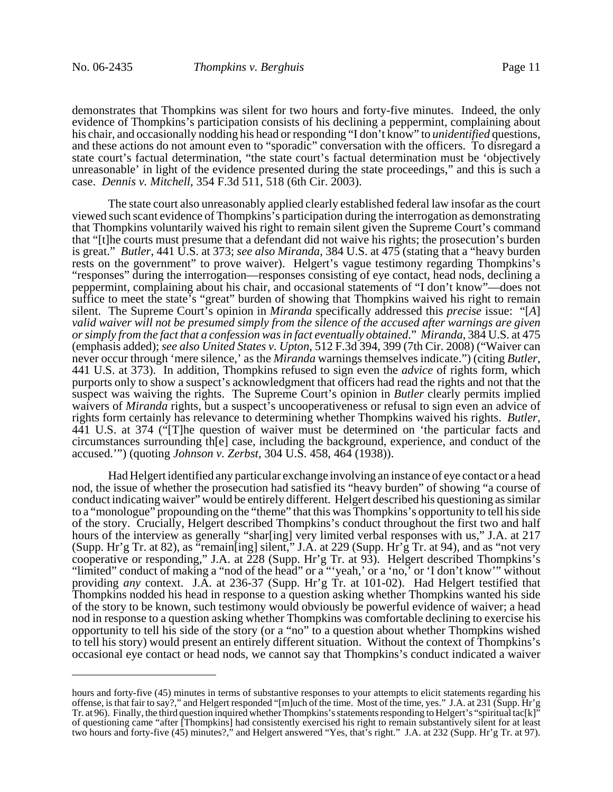demonstrates that Thompkins was silent for two hours and forty-five minutes. Indeed, the only evidence of Thompkins's participation consists of his declining a peppermint, complaining about his chair, and occasionally nodding his head or responding "I don't know" to *unidentified* questions, and these actions do not amount even to "sporadic" conversation with the officers. To disregard a state court's factual determination, "the state court's factual determination must be 'objectively unreasonable' in light of the evidence presented during the state proceedings," and this is such a case. *Dennis v. Mitchell*, 354 F.3d 511, 518 (6th Cir. 2003).

The state court also unreasonably applied clearly established federal law insofar as the court viewed such scant evidence of Thompkins's participation during the interrogation as demonstrating that Thompkins voluntarily waived his right to remain silent given the Supreme Court's command that "[t]he courts must presume that a defendant did not waive his rights; the prosecution's burden is great." *Butler*, 441 U.S. at 373; *see also Miranda*, 384 U.S. at 475 (stating that a "heavy burden rests on the government" to prove waiver). Helgert's vague testimony regarding Thompkins's "responses" during the interrogation—responses consisting of eye contact, head nods, declining a peppermint, complaining about his chair, and occasional statements of "I don't know"—does not suffice to meet the state's "great" burden of showing that Thompkins waived his right to remain silent. The Supreme Court's opinion in *Miranda* specifically addressed this *precise* issue: "[*A*] *valid waiver will not be presumed simply from the silence of the accused after warnings are given or simply from the fact that a confession was in fact eventually obtained*." *Miranda*, 384 U.S. at 475 (emphasis added); *see also United States v. Upton*, 512 F.3d 394, 399 (7th Cir. 2008) ("Waiver can never occur through 'mere silence,' as the *Miranda* warnings themselves indicate.") (citing *Butler*, 441 U.S. at 373). In addition, Thompkins refused to sign even the *advice* of rights form, which purports only to show a suspect's acknowledgment that officers had read the rights and not that the suspect was waiving the rights. The Supreme Court's opinion in *Butler* clearly permits implied waivers of *Miranda* rights, but a suspect's uncooperativeness or refusal to sign even an advice of rights form certainly has relevance to determining whether Thompkins waived his rights. *Butler*, 441 U.S. at 374 ("[T]he question of waiver must be determined on 'the particular facts and circumstances surrounding th[e] case, including the background, experience, and conduct of the accused.'") (quoting *Johnson v. Zerbst*, 304 U.S. 458, 464 (1938)).

Had Helgert identified any particular exchange involving an instance of eye contact or a head nod, the issue of whether the prosecution had satisfied its "heavy burden" of showing "a course of conduct indicating waiver" would be entirely different. Helgert described his questioning as similar to a "monologue" propounding on the "theme" that this was Thompkins's opportunity to tell his side of the story. Crucially, Helgert described Thompkins's conduct throughout the first two and half hours of the interview as generally "shar[ing] very limited verbal responses with us," J.A. at 217 (Supp. Hr'g Tr. at 82), as "remain[ing] silent," J.A. at 229 (Supp. Hr'g Tr. at 94), and as "not very cooperative or responding," J.A. at 228 (Supp. Hr'g Tr. at 93). Helgert described Thompkins's "limited" conduct of making a "nod of the head" or a "'yeah,' or a 'no,' or 'I don't know'" without providing *any* context. J.A. at 236-37 (Supp. Hr'g Tr. at 101-02). Had Helgert testified that Thompkins nodded his head in response to a question asking whether Thompkins wanted his side of the story to be known, such testimony would obviously be powerful evidence of waiver; a head nod in response to a question asking whether Thompkins was comfortable declining to exercise his opportunity to tell his side of the story (or a "no" to a question about whether Thompkins wished to tell his story) would present an entirely different situation. Without the context of Thompkins's occasional eye contact or head nods, we cannot say that Thompkins's conduct indicated a waiver

hours and forty-five (45) minutes in terms of substantive responses to your attempts to elicit statements regarding his offense, is that fair to say?," and Helgert responded "[m]uch of the time. Most of the time, yes." J.A. at 231 (Supp. Hr'g Tr. at 96). Finally, the third question inquired whether Thompkins's statements responding to Helgert's "spiritual tac[k]" of questioning came "after [Thompkins] had consistently exercised his right to remain substantively silent for at least two hours and forty-five (45) minutes?," and Helgert answered "Yes, that's right." J.A. at 232 (Supp. Hr'g Tr. at 97).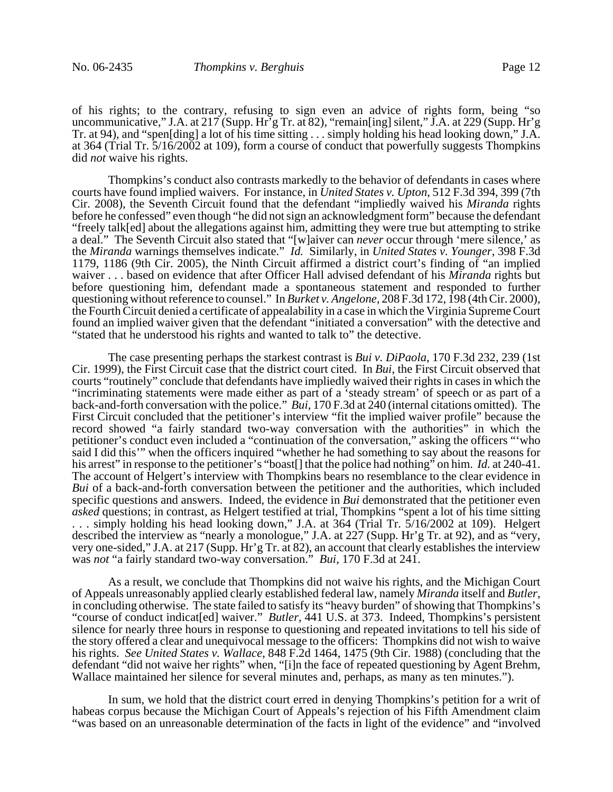of his rights; to the contrary, refusing to sign even an advice of rights form, being "so uncommunicative," J.A. at 217 (Supp. Hr<sup>3</sup>g Tr. at 82), "remain[ing] silent," J.A. at 229 (Supp. Hr<sup>3</sup>g Tr. at 94), and "spen[ding] a lot of his time sitting . . . simply holding his head looking down," J.A. at 364 (Trial Tr. 5/16/2002 at 109), form a course of conduct that powerfully suggests Thompkins did *not* waive his rights.

Thompkins's conduct also contrasts markedly to the behavior of defendants in cases where courts have found implied waivers. For instance, in *United States v. Upton*, 512 F.3d 394, 399 (7th Cir. 2008), the Seventh Circuit found that the defendant "impliedly waived his *Miranda* rights before he confessed" even though "he did not sign an acknowledgment form" because the defendant "freely talk[ed] about the allegations against him, admitting they were true but attempting to strike a deal." The Seventh Circuit also stated that "[w]aiver can *never* occur through 'mere silence,' as the *Miranda* warnings themselves indicate." *Id.* Similarly, in *United States v. Younger*, 398 F.3d 1179, 1186 (9th Cir. 2005), the Ninth Circuit affirmed a district court's finding of "an implied waiver . . . based on evidence that after Officer Hall advised defendant of his *Miranda* rights but before questioning him, defendant made a spontaneous statement and responded to further questioning without reference to counsel." In *Burket v. Angelone*, 208 F.3d 172, 198 (4th Cir. 2000), the Fourth Circuit denied a certificate of appealability in a case in which the Virginia Supreme Court found an implied waiver given that the defendant "initiated a conversation" with the detective and "stated that he understood his rights and wanted to talk to" the detective.

The case presenting perhaps the starkest contrast is *Bui v. DiPaola*, 170 F.3d 232, 239 (1st Cir. 1999), the First Circuit case that the district court cited. In *Bui*, the First Circuit observed that courts "routinely" conclude that defendants have impliedly waived their rights in cases in which the "incriminating statements were made either as part of a 'steady stream' of speech or as part of a back-and-forth conversation with the police." *Bui*, 170 F.3d at 240 (internal citations omitted). The First Circuit concluded that the petitioner's interview "fit the implied waiver profile" because the record showed "a fairly standard two-way conversation with the authorities" in which the petitioner's conduct even included a "continuation of the conversation," asking the officers "'who said I did this'" when the officers inquired "whether he had something to say about the reasons for his arrest" in response to the petitioner's "boast[] that the police had nothing" on him. *Id.* at 240-41. The account of Helgert's interview with Thompkins bears no resemblance to the clear evidence in *Bui* of a back-and-forth conversation between the petitioner and the authorities, which included specific questions and answers. Indeed, the evidence in *Bui* demonstrated that the petitioner even *asked* questions; in contrast, as Helgert testified at trial, Thompkins "spent a lot of his time sitting ... simply holding his head looking down," J.A. at 364 (Trial Tr.  $\frac{1}{5}$ /16/2002 at 109). Helgert described the interview as "nearly a monologue," J.A. at 227 (Supp. Hr'g Tr. at 92), and as "very, very one-sided," J.A. at 217 (Supp. Hr'g Tr. at 82), an account that clearly establishes the interview was *not* "a fairly standard two-way conversation." *Bui*, 170 F.3d at 241.

As a result, we conclude that Thompkins did not waive his rights, and the Michigan Court of Appeals unreasonably applied clearly established federal law, namely *Miranda* itself and *Butler*, in concluding otherwise. The state failed to satisfy its "heavy burden" of showing that Thompkins's "course of conduct indicat[ed] waiver." *Butler*, 441 U.S. at 373. Indeed, Thompkins's persistent silence for nearly three hours in response to questioning and repeated invitations to tell his side of the story offered a clear and unequivocal message to the officers: Thompkins did not wish to waive his rights. *See United States v. Wallace*, 848 F.2d 1464, 1475 (9th Cir. 1988) (concluding that the defendant "did not waive her rights" when, "[i]n the face of repeated questioning by Agent Brehm, Wallace maintained her silence for several minutes and, perhaps, as many as ten minutes.").

In sum, we hold that the district court erred in denying Thompkins's petition for a writ of habeas corpus because the Michigan Court of Appeals's rejection of his Fifth Amendment claim "was based on an unreasonable determination of the facts in light of the evidence" and "involved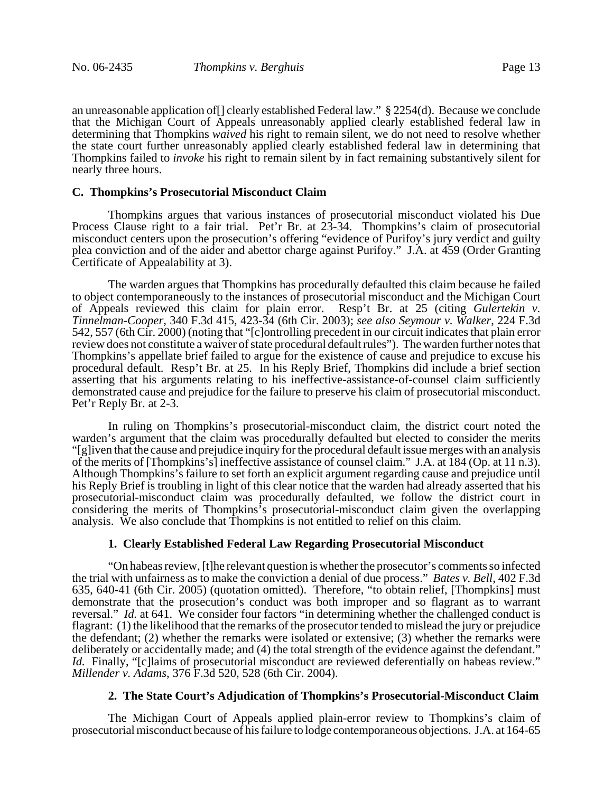an unreasonable application of[] clearly established Federal law." § 2254(d). Because we conclude that the Michigan Court of Appeals unreasonably applied clearly established federal law in determining that Thompkins *waived* his right to remain silent, we do not need to resolve whether the state court further unreasonably applied clearly established federal law in determining that Thompkins failed to *invoke* his right to remain silent by in fact remaining substantively silent for nearly three hours.

#### **C. Thompkins's Prosecutorial Misconduct Claim**

Thompkins argues that various instances of prosecutorial misconduct violated his Due Process Clause right to a fair trial. Pet'r Br. at 23-34. Thompkins's claim of prosecutorial misconduct centers upon the prosecution's offering "evidence of Purifoy's jury verdict and guilty plea conviction and of the aider and abettor charge against Purifoy." J.A. at 459 (Order Granting Certificate of Appealability at 3).

The warden argues that Thompkins has procedurally defaulted this claim because he failed to object contemporaneously to the instances of prosecutorial misconduct and the Michigan Court of Appeals reviewed this claim for plain error. Resp't Br. at 25 (citing *Gulertekin v. Tinnelman-Cooper*, 340 F.3d 415, 423-34 (6th Cir. 2003); *see also Seymour v. Walker*, 224 F.3d 542, 557 (6th Cir. 2000) (noting that "[c]ontrolling precedent in our circuit indicates that plain error review does not constitute a waiver of state procedural default rules"). The warden further notes that Thompkins's appellate brief failed to argue for the existence of cause and prejudice to excuse his procedural default. Resp't Br. at 25. In his Reply Brief, Thompkins did include a brief section asserting that his arguments relating to his ineffective-assistance-of-counsel claim sufficiently demonstrated cause and prejudice for the failure to preserve his claim of prosecutorial misconduct. Pet'r Reply Br. at 2-3.

In ruling on Thompkins's prosecutorial-misconduct claim, the district court noted the warden's argument that the claim was procedurally defaulted but elected to consider the merits "[g]iven that the cause and prejudice inquiry for the procedural default issue merges with an analysis of the merits of [Thompkins's] ineffective assistance of counsel claim." J.A. at 184 (Op. at 11 n.3). Although Thompkins's failure to set forth an explicit argument regarding cause and prejudice until his Reply Brief is troubling in light of this clear notice that the warden had already asserted that his prosecutorial-misconduct claim was procedurally defaulted, we follow the district court in considering the merits of Thompkins's prosecutorial-misconduct claim given the overlapping analysis. We also conclude that Thompkins is not entitled to relief on this claim.

# **1. Clearly Established Federal Law Regarding Prosecutorial Misconduct**

"On habeas review, [t]he relevant question is whether the prosecutor's comments so infected the trial with unfairness as to make the conviction a denial of due process." *Bates v. Bell*, 402 F.3d 635, 640-41 (6th Cir. 2005) (quotation omitted). Therefore, "to obtain relief, [Thompkins] must demonstrate that the prosecution's conduct was both improper and so flagrant as to warrant reversal." *Id.* at 641. We consider four factors "in determining whether the challenged conduct is flagrant: (1) the likelihood that the remarks of the prosecutor tended to mislead the jury or prejudice the defendant; (2) whether the remarks were isolated or extensive; (3) whether the remarks were deliberately or accidentally made; and (4) the total strength of the evidence against the defendant." *Id.* Finally, "[c]laims of prosecutorial misconduct are reviewed deferentially on habeas review." *Millender v. Adams*, 376 F.3d 520, 528 (6th Cir. 2004).

### **2. The State Court's Adjudication of Thompkins's Prosecutorial-Misconduct Claim**

The Michigan Court of Appeals applied plain-error review to Thompkins's claim of prosecutorial misconduct because of his failure to lodge contemporaneous objections. J.A. at 164-65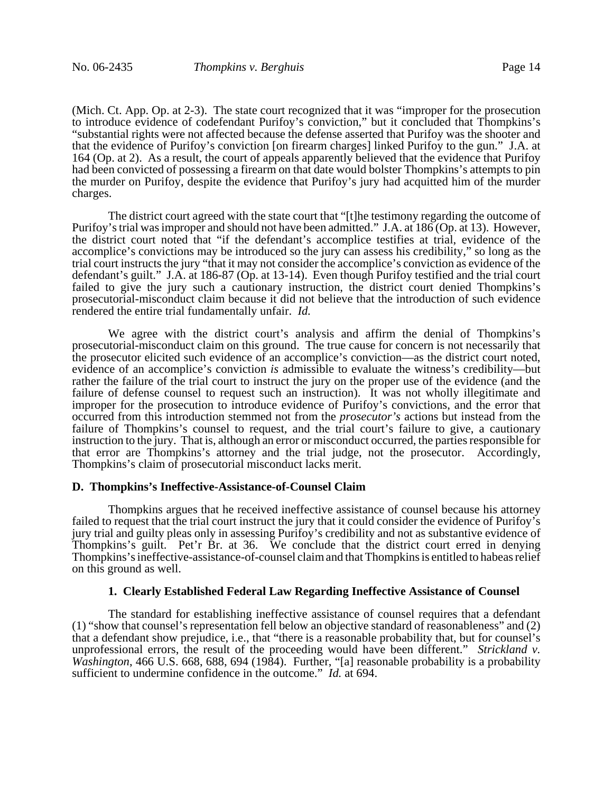(Mich. Ct. App. Op. at 2-3). The state court recognized that it was "improper for the prosecution to introduce evidence of codefendant Purifoy's conviction," but it concluded that Thompkins's "substantial rights were not affected because the defense asserted that Purifoy was the shooter and that the evidence of Purifoy's conviction [on firearm charges] linked Purifoy to the gun." J.A. at 164 (Op. at 2). As a result, the court of appeals apparently believed that the evidence that Purifoy had been convicted of possessing a firearm on that date would bolster Thompkins's attempts to pin the murder on Purifoy, despite the evidence that Purifoy's jury had acquitted him of the murder charges.

The district court agreed with the state court that "[t]he testimony regarding the outcome of Purifoy's trial was improper and should not have been admitted." J.A. at 186 (Op. at 13). However, the district court noted that "if the defendant's accomplice testifies at trial, evidence of the accomplice's convictions may be introduced so the jury can assess his credibility," so long as the trial court instructs the jury "that it may not consider the accomplice's conviction as evidence of the defendant's guilt." J.A. at 186-87 (Op. at 13-14). Even though Purifoy testified and the trial court failed to give the jury such a cautionary instruction, the district court denied Thompkins's prosecutorial-misconduct claim because it did not believe that the introduction of such evidence rendered the entire trial fundamentally unfair. *Id.*

We agree with the district court's analysis and affirm the denial of Thompkins's prosecutorial-misconduct claim on this ground. The true cause for concern is not necessarily that the prosecutor elicited such evidence of an accomplice's conviction—as the district court noted, evidence of an accomplice's conviction *is* admissible to evaluate the witness's credibility—but rather the failure of the trial court to instruct the jury on the proper use of the evidence (and the failure of defense counsel to request such an instruction). It was not wholly illegitimate and improper for the prosecution to introduce evidence of Purifoy's convictions, and the error that occurred from this introduction stemmed not from the *prosecutor's* actions but instead from the failure of Thompkins's counsel to request, and the trial court's failure to give, a cautionary instruction to the jury. That is, although an error or misconduct occurred, the parties responsible for that error are Thompkins's attorney and the trial judge, not the prosecutor. Accordingly, Thompkins's claim of prosecutorial misconduct lacks merit.

### **D. Thompkins's Ineffective-Assistance-of-Counsel Claim**

Thompkins argues that he received ineffective assistance of counsel because his attorney failed to request that the trial court instruct the jury that it could consider the evidence of Purifoy's jury trial and guilty pleas only in assessing Purifoy's credibility and not as substantive evidence of Thompkins's guilt. Pet'r Br. at 36. We conclude that the district court erred in denying Thompkins's ineffective-assistance-of-counsel claim and that Thompkins is entitled to habeas relief on this ground as well.

### **1. Clearly Established Federal Law Regarding Ineffective Assistance of Counsel**

The standard for establishing ineffective assistance of counsel requires that a defendant (1) "show that counsel's representation fell below an objective standard of reasonableness" and (2) that a defendant show prejudice, i.e., that "there is a reasonable probability that, but for counsel's unprofessional errors, the result of the proceeding would have been different." *Strickland v. Washington*, 466 U.S. 668, 688, 694 (1984). Further, "[a] reasonable probability is a probability sufficient to undermine confidence in the outcome." *Id.* at 694.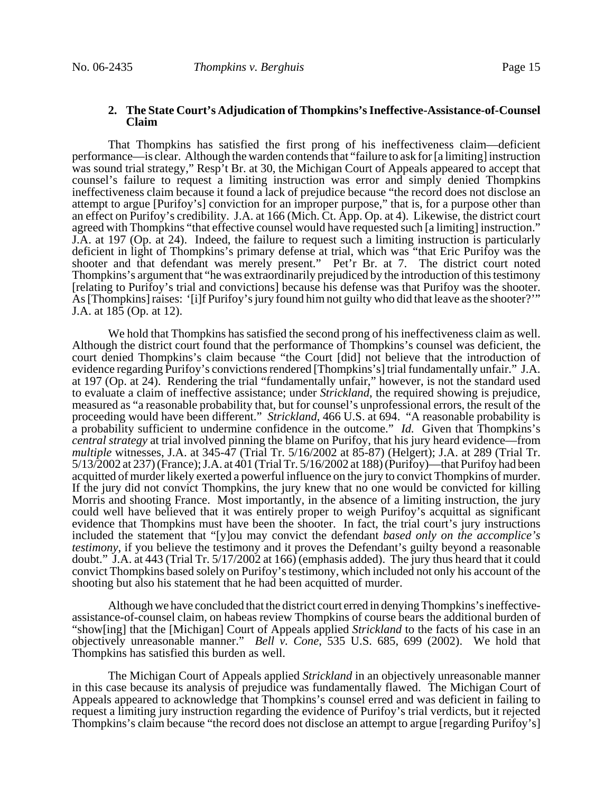## **2. The State Court's Adjudication of Thompkins's Ineffective-Assistance-of-Counsel Claim**

That Thompkins has satisfied the first prong of his ineffectiveness claim—deficient performance—is clear. Although the warden contends that "failure to ask for [a limiting] instruction was sound trial strategy," Resp't Br. at 30, the Michigan Court of Appeals appeared to accept that counsel's failure to request a limiting instruction was error and simply denied Thompkins ineffectiveness claim because it found a lack of prejudice because "the record does not disclose an attempt to argue [Purifoy's] conviction for an improper purpose," that is, for a purpose other than an effect on Purifoy's credibility. J.A. at 166 (Mich. Ct. App. Op. at 4). Likewise, the district court agreed with Thompkins "that effective counsel would have requested such [a limiting] instruction." J.A. at 197 (Op. at 24). Indeed, the failure to request such a limiting instruction is particularly deficient in light of Thompkins's primary defense at trial, which was "that Eric Purifoy was the shooter and that defendant was merely present." Pet'r Br. at 7. The district court noted Thompkins's argument that "he was extraordinarily prejudiced by the introduction of this testimony [relating to Purifoy's trial and convictions] because his defense was that Purifoy was the shooter. As [Thompkins] raises: '[i]f Purifoy's jury found him not guilty who did that leave as the shooter?'" J.A. at 185 (Op. at 12).

We hold that Thompkins has satisfied the second prong of his ineffectiveness claim as well. Although the district court found that the performance of Thompkins's counsel was deficient, the court denied Thompkins's claim because "the Court [did] not believe that the introduction of evidence regarding Purifoy's convictions rendered [Thompkins's] trial fundamentally unfair." J.A. at 197 (Op. at 24). Rendering the trial "fundamentally unfair," however, is not the standard used to evaluate a claim of ineffective assistance; under *Strickland*, the required showing is prejudice, measured as "a reasonable probability that, but for counsel's unprofessional errors, the result of the proceeding would have been different." *Strickland*, 466 U.S. at 694. "A reasonable probability is a probability sufficient to undermine confidence in the outcome." *Id.* Given that Thompkins's *central strategy* at trial involved pinning the blame on Purifoy, that his jury heard evidence—from *multiple* witnesses, J.A. at 345-47 (Trial Tr. 5/16/2002 at 85-87) (Helgert); J.A. at 289 (Trial Tr. 5/13/2002 at 237) (France); J.A. at 401 (Trial Tr. 5/16/2002 at 188) (Purifoy)—that Purifoy had been acquitted of murder likely exerted a powerful influence on the jury to convict Thompkins of murder. If the jury did not convict Thompkins, the jury knew that no one would be convicted for killing Morris and shooting France. Most importantly, in the absence of a limiting instruction, the jury could well have believed that it was entirely proper to weigh Purifoy's acquittal as significant evidence that Thompkins must have been the shooter. In fact, the trial court's jury instructions included the statement that "[y]ou may convict the defendant *based only on the accomplice's testimony*, if you believe the testimony and it proves the Defendant's guilty beyond a reasonable doubt." J.A. at 443 (Trial Tr. 5/17/2002 at 166) (emphasis added). The jury thus heard that it could convict Thompkins based solely on Purifoy's testimony, which included not only his account of the shooting but also his statement that he had been acquitted of murder.

Although we have concluded that the district court erred in denying Thompkins's ineffectiveassistance-of-counsel claim, on habeas review Thompkins of course bears the additional burden of "show[ing] that the [Michigan] Court of Appeals applied *Strickland* to the facts of his case in an objectively unreasonable manner." *Bell v. Cone*, 535 U.S. 685, 699 (2002). We hold that Thompkins has satisfied this burden as well.

The Michigan Court of Appeals applied *Strickland* in an objectively unreasonable manner in this case because its analysis of prejudice was fundamentally flawed. The Michigan Court of Appeals appeared to acknowledge that Thompkins's counsel erred and was deficient in failing to request a limiting jury instruction regarding the evidence of Purifoy's trial verdicts, but it rejected Thompkins's claim because "the record does not disclose an attempt to argue [regarding Purifoy's]